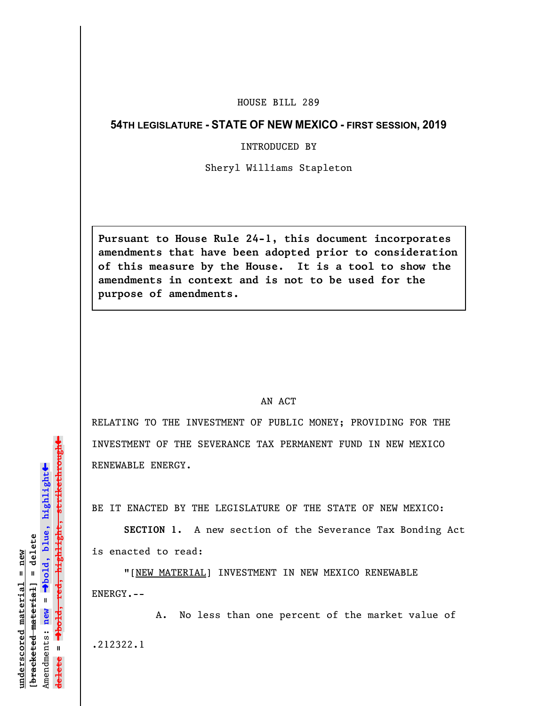# HOUSE BILL 289

# **54TH LEGISLATURE - STATE OF NEW MEXICO - FIRST SESSION, 2019**

#### INTRODUCED BY

## Sheryl Williams Stapleton

**Pursuant to House Rule 24-1, this document incorporates amendments that have been adopted prior to consideration of this measure by the House. It is a tool to show the amendments in context and is not to be used for the purpose of amendments.** 

## AN ACT

RELATING TO THE INVESTMENT OF PUBLIC MONEY; PROVIDING FOR THE INVESTMENT OF THE SEVERANCE TAX PERMANENT FUND IN NEW MEXICO RENEWABLE ENERGY.

BE IT ENACTED BY THE LEGISLATURE OF THE STATE OF NEW MEXICO:

**SECTION 1.** A new section of the Severance Tax Bonding Act is enacted to read:

"[NEW MATERIAL] INVESTMENT IN NEW MEXICO RENEWABLE ENERGY.--

A. No less than one percent of the market value of .212322.1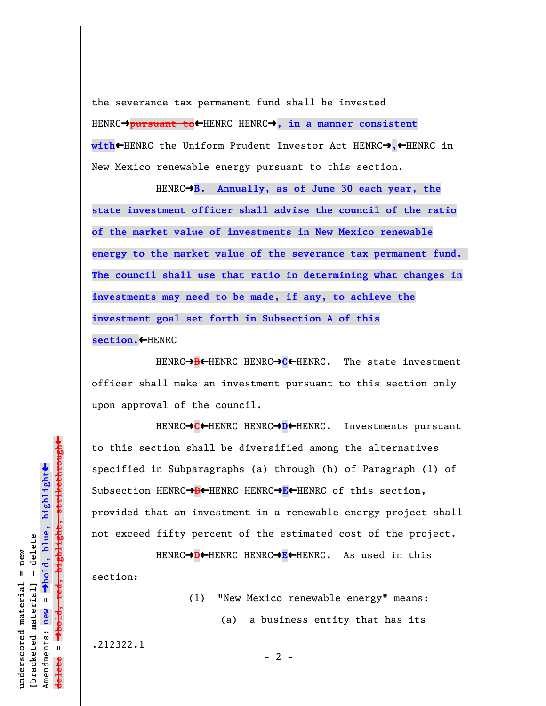the severance tax permanent fund shall be invested HENRC $\rightarrow$ pursuant to< HENRC HENRC $\rightarrow$ , in a manner consistent **with**»HENRC the Uniform Prudent Investor Act HENRCº**,**»HENRC in New Mexico renewable energy pursuant to this section.

HENRC<sup>+</sup>B. Annually, as of June 30 each year, the **state investment officer shall advise the council of the ratio of the market value of investments in New Mexico renewable energy to the market value of the severance tax permanent fund. The council shall use that ratio in determining what changes in investments may need to be made, if any, to achieve the investment goal set forth in Subsection A of this** section. HENRC

HENRC→B←HENRC HENRC→C←HENRC. The state investment officer shall make an investment pursuant to this section only upon approval of the council.

HENRC→C←HENRC HENRC→D←HENRC. Investments pursuant to this section shall be diversified among the alternatives specified in Subparagraphs (a) through (h) of Paragraph (1) of Subsection HENRC→**D←**HENRC HENRC→E←HENRC of this section, provided that an investment in a renewable energy project shall not exceed fifty percent of the estimated cost of the project.

HENRC→**D←**HENRC HENRC→E←HENRC. As used in this section:

> (1) "New Mexico renewable energy" means: (a) a business entity that has its

.212322.1

º**bold, red, highlight, strikethrough** º**bold, blue, highlight** Amendments: new = Amendments: **new** =  $\mathbf{u}$ **delete =** lelete

 $\ddot{\bullet}$ 

 $\ddag$ 

**underscored material = new [bracketed material] = delete**

bracketed material] = delete inderscored material = new

 $- 2 -$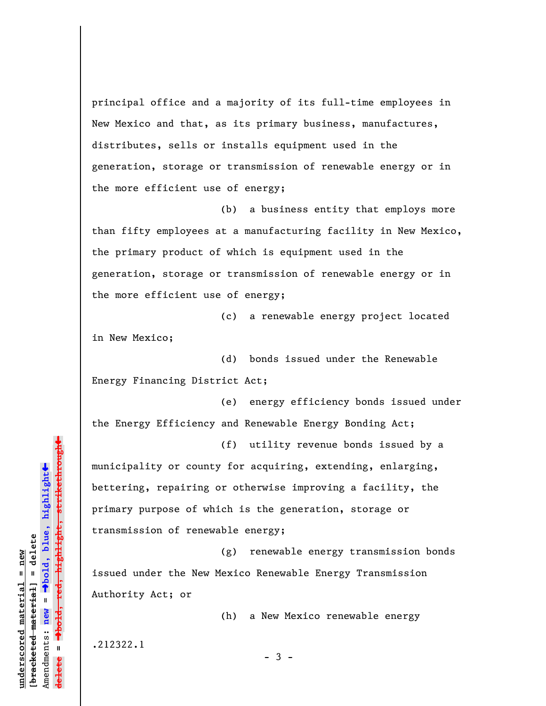principal office and a majority of its full-time employees in New Mexico and that, as its primary business, manufactures, distributes, sells or installs equipment used in the generation, storage or transmission of renewable energy or in the more efficient use of energy;

(b) a business entity that employs more than fifty employees at a manufacturing facility in New Mexico, the primary product of which is equipment used in the generation, storage or transmission of renewable energy or in the more efficient use of energy;

(c) a renewable energy project located in New Mexico;

(d) bonds issued under the Renewable Energy Financing District Act;

(e) energy efficiency bonds issued under the Energy Efficiency and Renewable Energy Bonding Act;

(f) utility revenue bonds issued by a municipality or county for acquiring, extending, enlarging, bettering, repairing or otherwise improving a facility, the primary purpose of which is the generation, storage or transmission of renewable energy;

(g) renewable energy transmission bonds issued under the New Mexico Renewable Energy Transmission Authority Act; or

(h) a New Mexico renewable energy

.212322.1

**underscored material = new [bracketed material] = delete**

 $b$ racketed material] = delete inderscored material = new

Amendments: **new** =

Amendments: new  $\mathbf{u}$ 

 $\mathbf{u}$ 

**delete =**

lelete

º**bold, blue, highlight**

º**bold, red, highlight, strikethrough**

highlight, strikethrough

 $\ddot{\bullet}$ 

»

- 3 -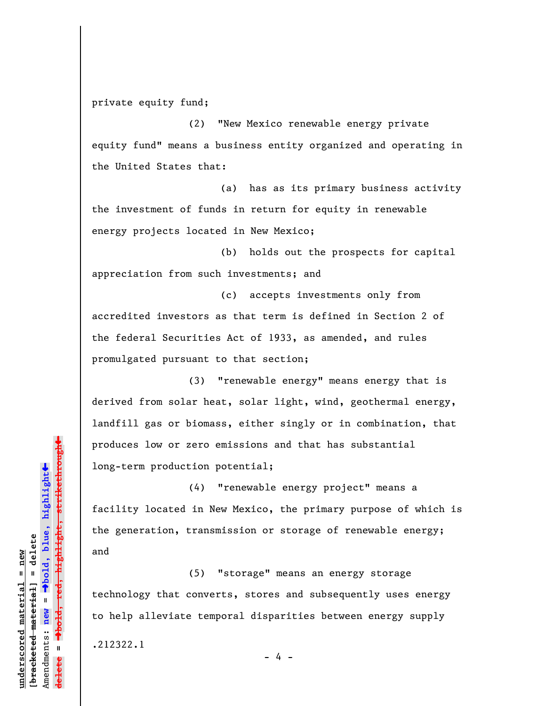private equity fund;

(2) "New Mexico renewable energy private equity fund" means a business entity organized and operating in the United States that:

(a) has as its primary business activity the investment of funds in return for equity in renewable energy projects located in New Mexico;

(b) holds out the prospects for capital appreciation from such investments; and

(c) accepts investments only from accredited investors as that term is defined in Section 2 of the federal Securities Act of 1933, as amended, and rules promulgated pursuant to that section;

(3) "renewable energy" means energy that is derived from solar heat, solar light, wind, geothermal energy, landfill gas or biomass, either singly or in combination, that produces low or zero emissions and that has substantial long-term production potential;

(4) "renewable energy project" means a facility located in New Mexico, the primary purpose of which is the generation, transmission or storage of renewable energy; and

(5) "storage" means an energy storage technology that converts, stores and subsequently uses energy to help alleviate temporal disparities between energy supply .212322.1

- 4 -

»